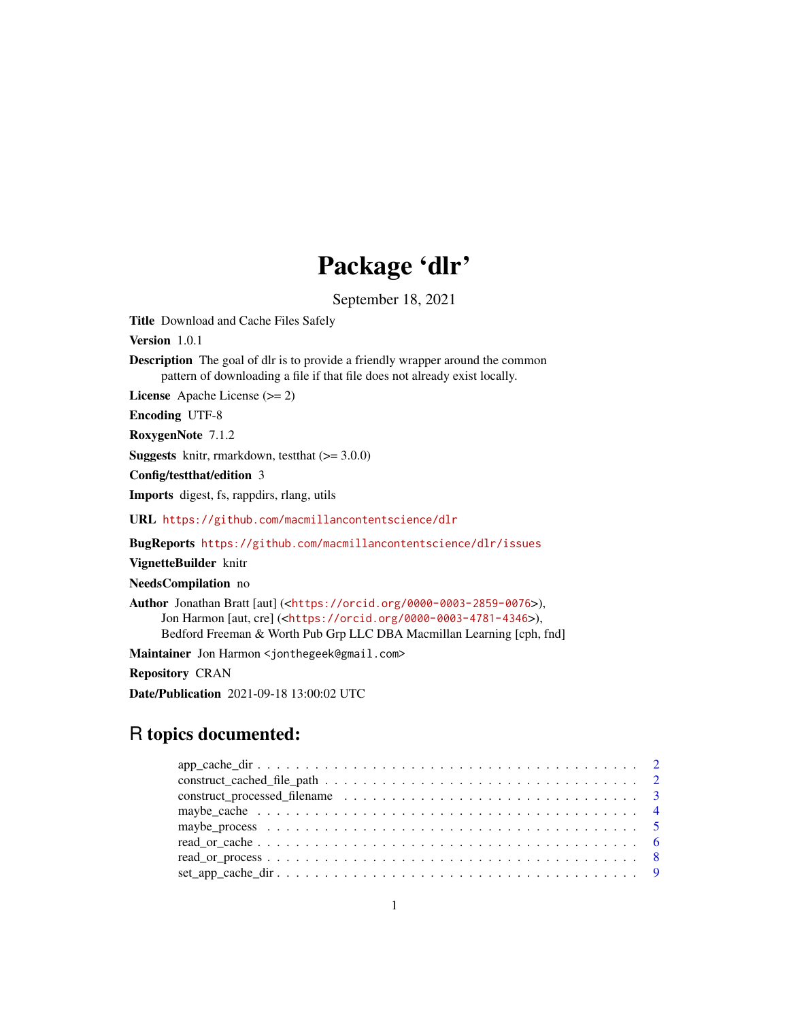## Package 'dlr'

September 18, 2021

<span id="page-0-0"></span>Title Download and Cache Files Safely

Version 1.0.1

Description The goal of dlr is to provide a friendly wrapper around the common pattern of downloading a file if that file does not already exist locally.

License Apache License (>= 2)

Encoding UTF-8

RoxygenNote 7.1.2

**Suggests** knitr, rmarkdown, test that  $(>= 3.0.0)$ 

Config/testthat/edition 3

Imports digest, fs, rappdirs, rlang, utils

URL <https://github.com/macmillancontentscience/dlr>

BugReports <https://github.com/macmillancontentscience/dlr/issues>

VignetteBuilder knitr

NeedsCompilation no

Author Jonathan Bratt [aut] (<<https://orcid.org/0000-0003-2859-0076>>), Jon Harmon [aut, cre] (<<https://orcid.org/0000-0003-4781-4346>>), Bedford Freeman & Worth Pub Grp LLC DBA Macmillan Learning [cph, fnd]

Maintainer Jon Harmon <jonthegeek@gmail.com>

Repository CRAN

Date/Publication 2021-09-18 13:00:02 UTC

### R topics documented: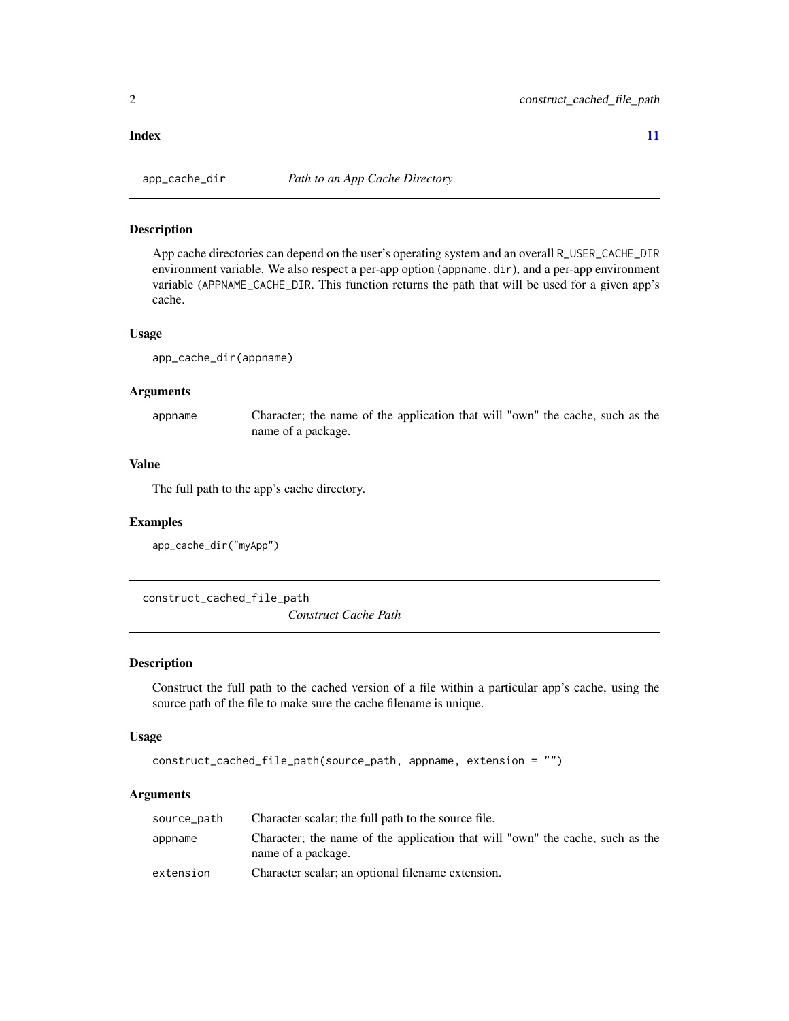#### <span id="page-1-0"></span>**Index** [11](#page-10-0)

<span id="page-1-1"></span>

#### Description

App cache directories can depend on the user's operating system and an overall R\_USER\_CACHE\_DIR environment variable. We also respect a per-app option (appname.dir), and a per-app environment variable (APPNAME\_CACHE\_DIR. This function returns the path that will be used for a given app's cache.

#### Usage

```
app_cache_dir(appname)
```
#### Arguments

appname Character; the name of the application that will "own" the cache, such as the name of a package.

#### Value

The full path to the app's cache directory.

#### Examples

```
app_cache_dir("myApp")
```
construct\_cached\_file\_path

*Construct Cache Path*

#### Description

Construct the full path to the cached version of a file within a particular app's cache, using the source path of the file to make sure the cache filename is unique.

#### Usage

```
construct_cached_file_path(source_path, appname, extension = "")
```
#### Arguments

| source_path | Character scalar; the full path to the source file.                                                 |
|-------------|-----------------------------------------------------------------------------------------------------|
| appname     | Character; the name of the application that will "own" the cache, such as the<br>name of a package. |
| extension   | Character scalar; an optional filename extension.                                                   |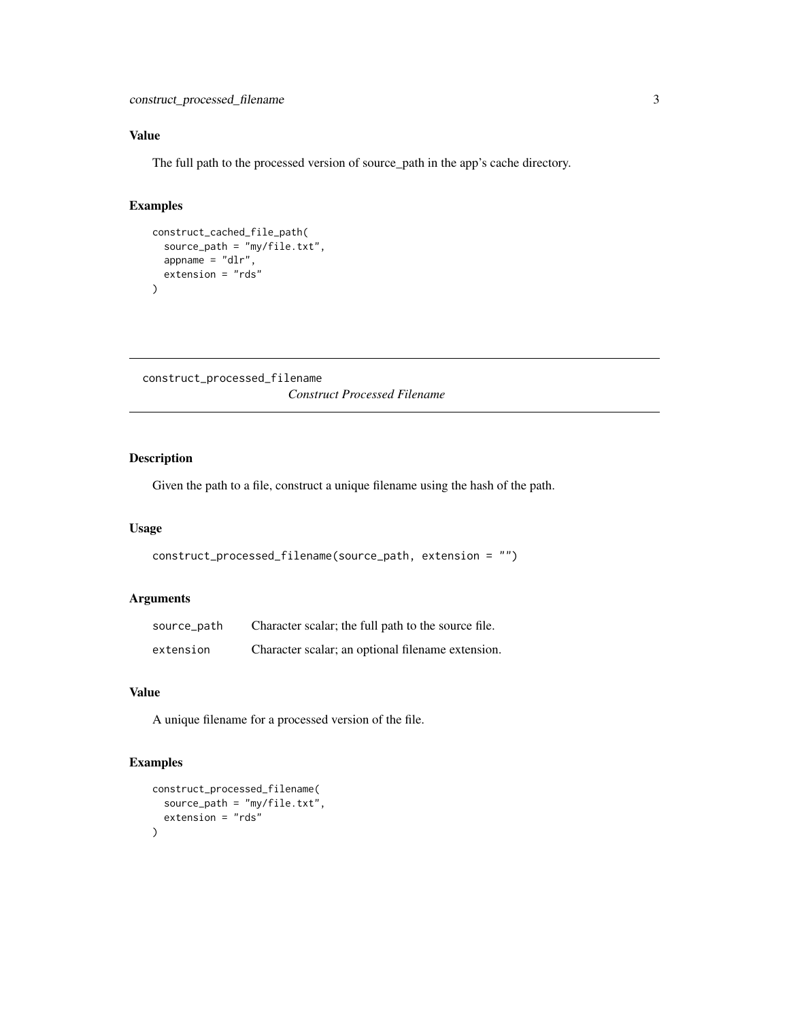#### <span id="page-2-0"></span>Value

The full path to the processed version of source\_path in the app's cache directory.

#### Examples

```
construct_cached_file_path(
  source_path = "my/file.txt",
  appname = "dlr",
  extension = "rds"
\mathcal{L}
```

```
construct_processed_filename
                        Construct Processed Filename
```
#### Description

Given the path to a file, construct a unique filename using the hash of the path.

#### Usage

```
construct_processed_filename(source_path, extension = "")
```
#### Arguments

| source_path | Character scalar; the full path to the source file. |
|-------------|-----------------------------------------------------|
| extension   | Character scalar; an optional filename extension.   |

#### Value

A unique filename for a processed version of the file.

#### Examples

```
construct_processed_filename(
  source_path = "my/file.txt",
  extension = "rds"
)
```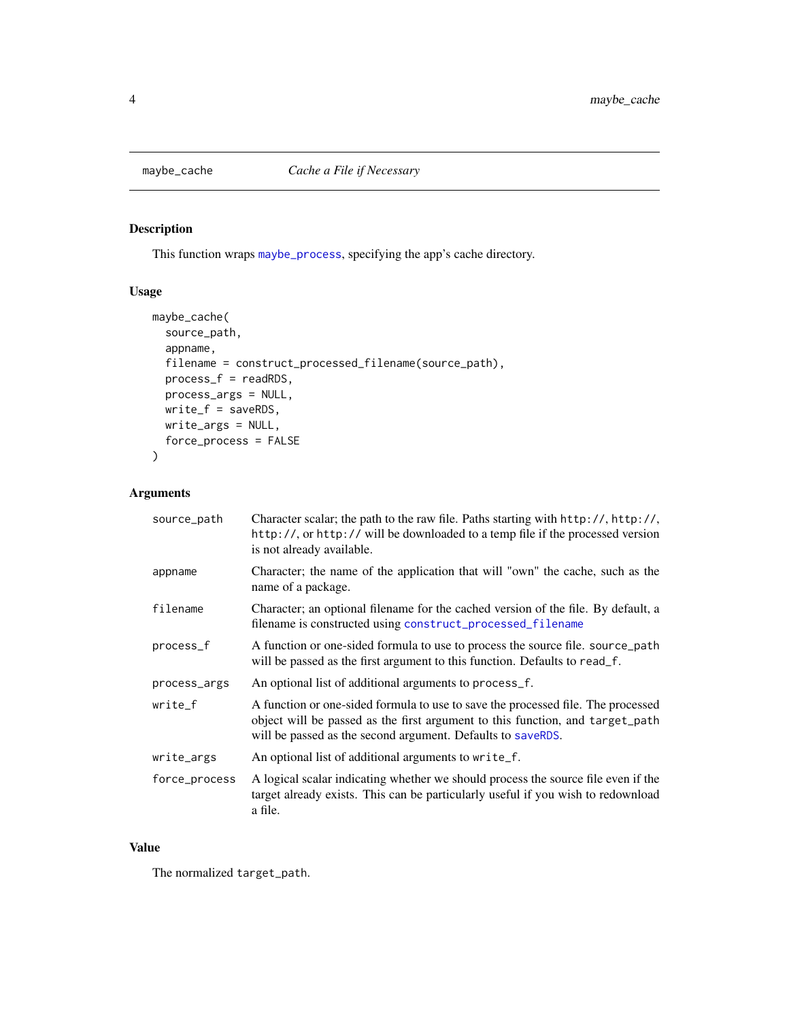<span id="page-3-0"></span>

#### Description

This function wraps [maybe\\_process](#page-4-1), specifying the app's cache directory.

#### Usage

```
maybe_cache(
  source_path,
  appname,
 filename = construct_processed_filename(source_path),
 process_f = readRDS,
 process_args = NULL,
 write_f = saveRDS,
 write_args = NULL,
  force_process = FALSE
)
```
#### Arguments

| source_path   | Character scalar; the path to the raw file. Paths starting with http://, http://,<br>http://, or http:// will be downloaded to a temp file if the processed version<br>is not already available.                                 |
|---------------|----------------------------------------------------------------------------------------------------------------------------------------------------------------------------------------------------------------------------------|
| appname       | Character; the name of the application that will "own" the cache, such as the<br>name of a package.                                                                                                                              |
| filename      | Character; an optional filename for the cached version of the file. By default, a<br>filename is constructed using construct_processed_filename                                                                                  |
| process_f     | A function or one-sided formula to use to process the source file. source_path<br>will be passed as the first argument to this function. Defaults to read_f.                                                                     |
| process_args  | An optional list of additional arguments to process_f.                                                                                                                                                                           |
| write_f       | A function or one-sided formula to use to save the processed file. The processed<br>object will be passed as the first argument to this function, and target_path<br>will be passed as the second argument. Defaults to saveRDS. |
| write_args    | An optional list of additional arguments to write_f.                                                                                                                                                                             |
| force_process | A logical scalar indicating whether we should process the source file even if the<br>target already exists. This can be particularly useful if you wish to redownload<br>a file.                                                 |

#### Value

The normalized target\_path.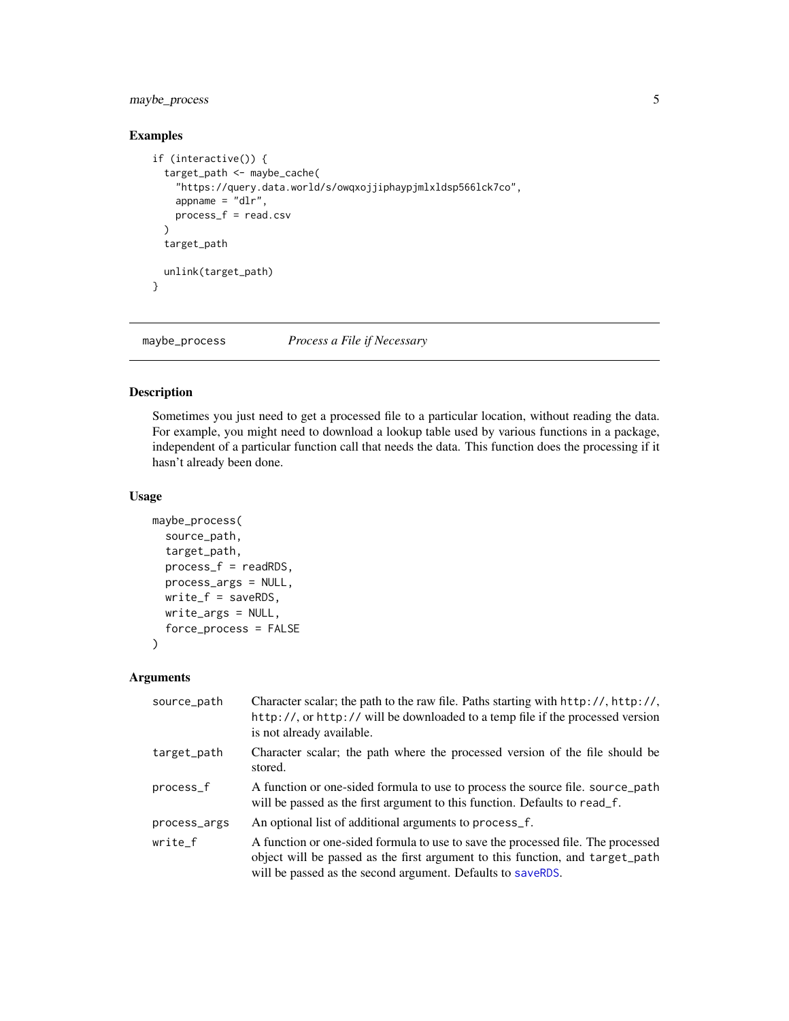#### <span id="page-4-0"></span>maybe\_process 5

#### Examples

```
if (interactive()) {
 target_path <- maybe_cache(
    "https://query.data.world/s/owqxojjiphaypjmlxldsp566lck7co",
   appname = "dlr",process_f = read.csv
 \lambdatarget_path
 unlink(target_path)
}
```
<span id="page-4-1"></span>maybe\_process *Process a File if Necessary*

#### Description

Sometimes you just need to get a processed file to a particular location, without reading the data. For example, you might need to download a lookup table used by various functions in a package, independent of a particular function call that needs the data. This function does the processing if it hasn't already been done.

#### Usage

```
maybe_process(
  source_path,
  target_path,
  process_f = readRDS,
 process_args = NULL,
 write_f = saveRDS,
 write_args = NULL,
  force_process = FALSE
\mathcal{L}
```
#### Arguments

| source_path  | Character scalar; the path to the raw file. Paths starting with http://, http://,<br>http://, or http:// will be downloaded to a temp file if the processed version<br>is not already available.                                 |
|--------------|----------------------------------------------------------------------------------------------------------------------------------------------------------------------------------------------------------------------------------|
| target_path  | Character scalar; the path where the processed version of the file should be<br>stored.                                                                                                                                          |
| process_f    | A function or one-sided formula to use to process the source file. source_path<br>will be passed as the first argument to this function. Defaults to read_f.                                                                     |
| process_args | An optional list of additional arguments to process_f.                                                                                                                                                                           |
| write_f      | A function or one-sided formula to use to save the processed file. The processed<br>object will be passed as the first argument to this function, and target_path<br>will be passed as the second argument. Defaults to saveRDS. |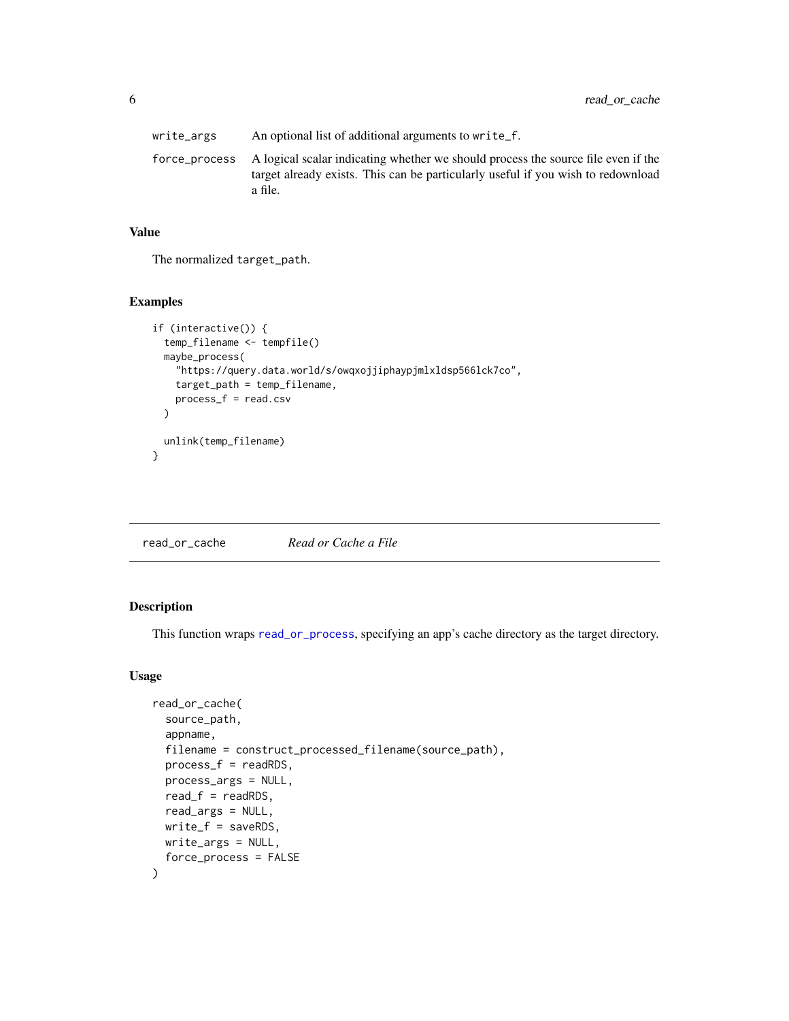<span id="page-5-0"></span>write\_args An optional list of additional arguments to write\_f. force\_process A logical scalar indicating whether we should process the source file even if the target already exists. This can be particularly useful if you wish to redownload a file.

#### Value

The normalized target\_path.

#### Examples

```
if (interactive()) {
 temp_filename <- tempfile()
 maybe_process(
    "https://query.data.world/s/owqxojjiphaypjmlxldsp566lck7co",
   target_path = temp_filename,
   process_f = read.csv
 \lambdaunlink(temp_filename)
}
```
read\_or\_cache *Read or Cache a File*

#### Description

This function wraps [read\\_or\\_process](#page-7-1), specifying an app's cache directory as the target directory.

#### Usage

```
read_or_cache(
  source_path,
  appname,
  filename = construct_processed_filename(source_path),
 process_f = readRDS,
 process_args = NULL,
  read_f = readRDS,
  read_args = NULL,
 write_f = saveRDS,
 write_args = NULL,
  force_process = FALSE
\mathcal{E}
```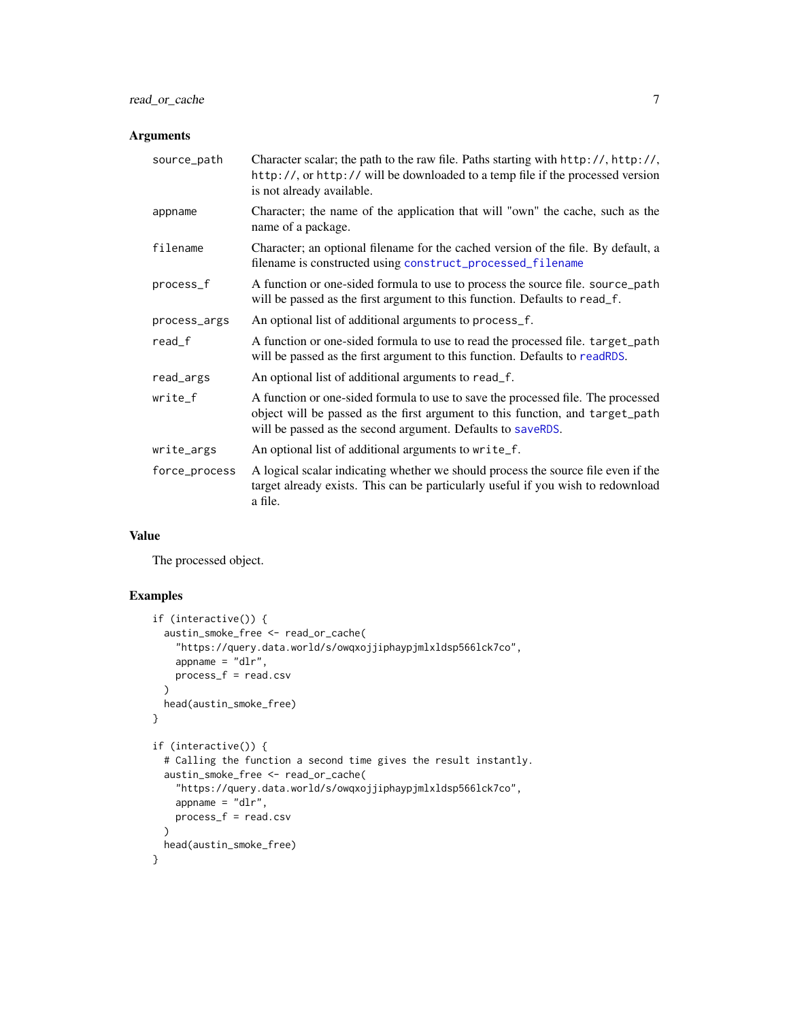#### <span id="page-6-0"></span>Arguments

| source_path   | Character scalar; the path to the raw file. Paths starting with http://, http://,<br>http://, or http:// will be downloaded to a temp file if the processed version<br>is not already available.                                 |
|---------------|----------------------------------------------------------------------------------------------------------------------------------------------------------------------------------------------------------------------------------|
| appname       | Character; the name of the application that will "own" the cache, such as the<br>name of a package.                                                                                                                              |
| filename      | Character; an optional filename for the cached version of the file. By default, a<br>filename is constructed using construct_processed_filename                                                                                  |
| process_f     | A function or one-sided formula to use to process the source file. source_path<br>will be passed as the first argument to this function. Defaults to read_f.                                                                     |
| process_args  | An optional list of additional arguments to process_f.                                                                                                                                                                           |
| $read_f$      | A function or one-sided formula to use to read the processed file. target_path<br>will be passed as the first argument to this function. Defaults to readRDS.                                                                    |
| read_args     | An optional list of additional arguments to read_f.                                                                                                                                                                              |
| write_f       | A function or one-sided formula to use to save the processed file. The processed<br>object will be passed as the first argument to this function, and target_path<br>will be passed as the second argument. Defaults to saveRDS. |
| write_args    | An optional list of additional arguments to write_f.                                                                                                                                                                             |
| force_process | A logical scalar indicating whether we should process the source file even if the<br>target already exists. This can be particularly useful if you wish to redownload<br>a file.                                                 |

#### Value

The processed object.

#### Examples

```
if (interactive()) {
  austin_smoke_free <- read_or_cache(
    "https://query.data.world/s/owqxojjiphaypjmlxldsp566lck7co",
    appname = "dlr",
    process_f = read.csv
  \mathcal{L}head(austin_smoke_free)
}
if (interactive()) {
  # Calling the function a second time gives the result instantly.
  austin_smoke_free <- read_or_cache(
    "https://query.data.world/s/owqxojjiphaypjmlxldsp566lck7co",
    appname = "dlr",process_f = read.csv
  \lambdahead(austin_smoke_free)
}
```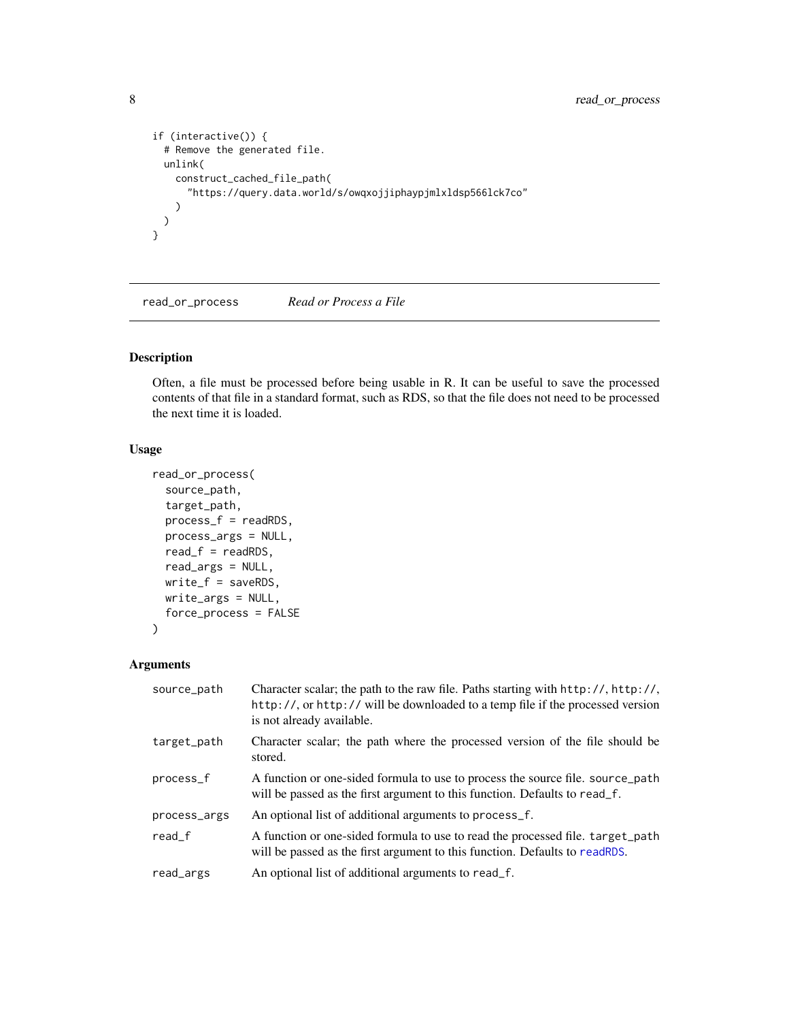```
if (interactive()) {
 # Remove the generated file.
 unlink(
   construct_cached_file_path(
      "https://query.data.world/s/owqxojjiphaypjmlxldsp566lck7co"
   )
 \lambda}
```
<span id="page-7-1"></span>read\_or\_process *Read or Process a File*

#### Description

Often, a file must be processed before being usable in R. It can be useful to save the processed contents of that file in a standard format, such as RDS, so that the file does not need to be processed the next time it is loaded.

#### Usage

```
read_or_process(
  source_path,
  target_path,
 process_f = readRDS,
 process_args = NULL,
  read_f = readRDS,
 read_args = NULL,
 write_f = saveRDS,
 write_args = NULL,
  force_process = FALSE
)
```
#### Arguments

| source_path  | Character scalar; the path to the raw file. Paths starting with $http://http://,http://,$<br>http://, or http:// will be downloaded to a temp file if the processed version<br>is not already available. |
|--------------|----------------------------------------------------------------------------------------------------------------------------------------------------------------------------------------------------------|
| target_path  | Character scalar; the path where the processed version of the file should be<br>stored.                                                                                                                  |
| process_f    | A function or one-sided formula to use to process the source file. source path<br>will be passed as the first argument to this function. Defaults to read_f.                                             |
| process_args | An optional list of additional arguments to process_f.                                                                                                                                                   |
| read f       | A function or one-sided formula to use to read the processed file. target_path<br>will be passed as the first argument to this function. Defaults to readRDS.                                            |
| read_args    | An optional list of additional arguments to read_f.                                                                                                                                                      |

<span id="page-7-0"></span>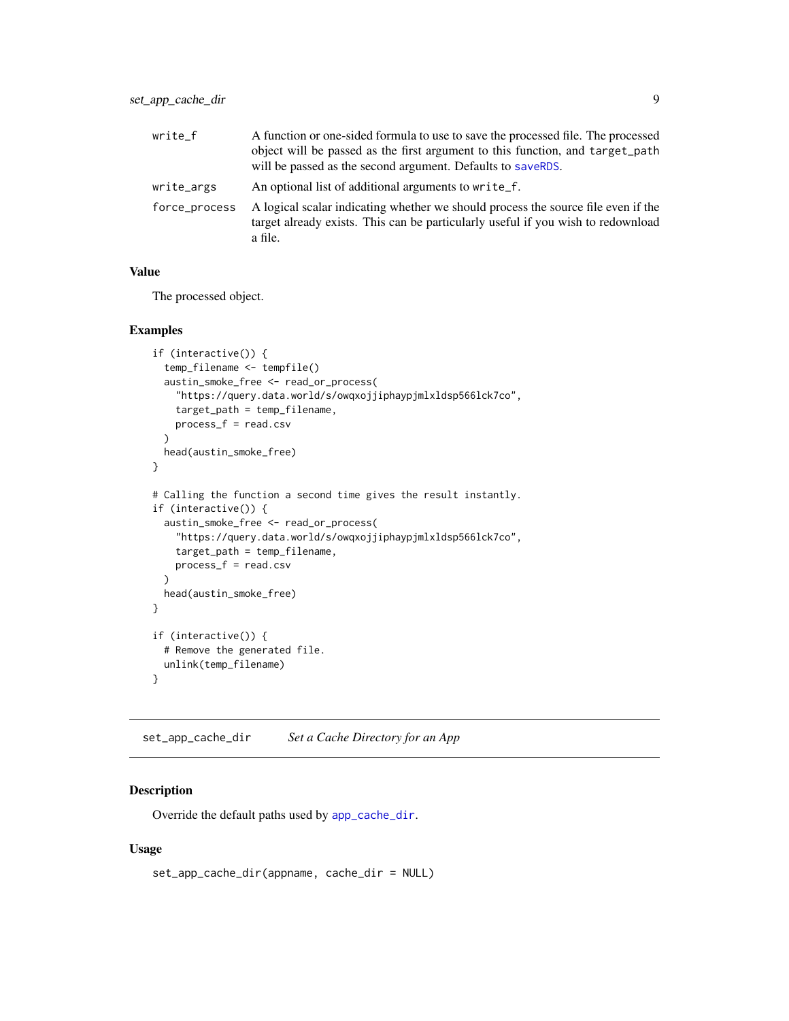<span id="page-8-0"></span>

| write f       | A function or one-sided formula to use to save the processed file. The processed<br>object will be passed as the first argument to this function, and target path<br>will be passed as the second argument. Defaults to saveRDS. |
|---------------|----------------------------------------------------------------------------------------------------------------------------------------------------------------------------------------------------------------------------------|
| write_args    | An optional list of additional arguments to write f.                                                                                                                                                                             |
| force_process | A logical scalar indicating whether we should process the source file even if the<br>target already exists. This can be particularly useful if you wish to redownload<br>a file.                                                 |

#### Value

The processed object.

#### Examples

```
if (interactive()) {
 temp_filename <- tempfile()
 austin_smoke_free <- read_or_process(
    "https://query.data.world/s/owqxojjiphaypjmlxldsp566lck7co",
   target_path = temp_filename,
   process_f = read.csv
 )
 head(austin_smoke_free)
}
# Calling the function a second time gives the result instantly.
if (interactive()) {
 austin_smoke_free <- read_or_process(
    "https://query.data.world/s/owqxojjiphaypjmlxldsp566lck7co",
   target_path = temp_filename,
   process_f = read.csv
 )
 head(austin_smoke_free)
}
if (interactive()) {
 # Remove the generated file.
 unlink(temp_filename)
}
```
set\_app\_cache\_dir *Set a Cache Directory for an App*

#### Description

Override the default paths used by [app\\_cache\\_dir](#page-1-1).

#### Usage

```
set_app_cache_dir(appname, cache_dir = NULL)
```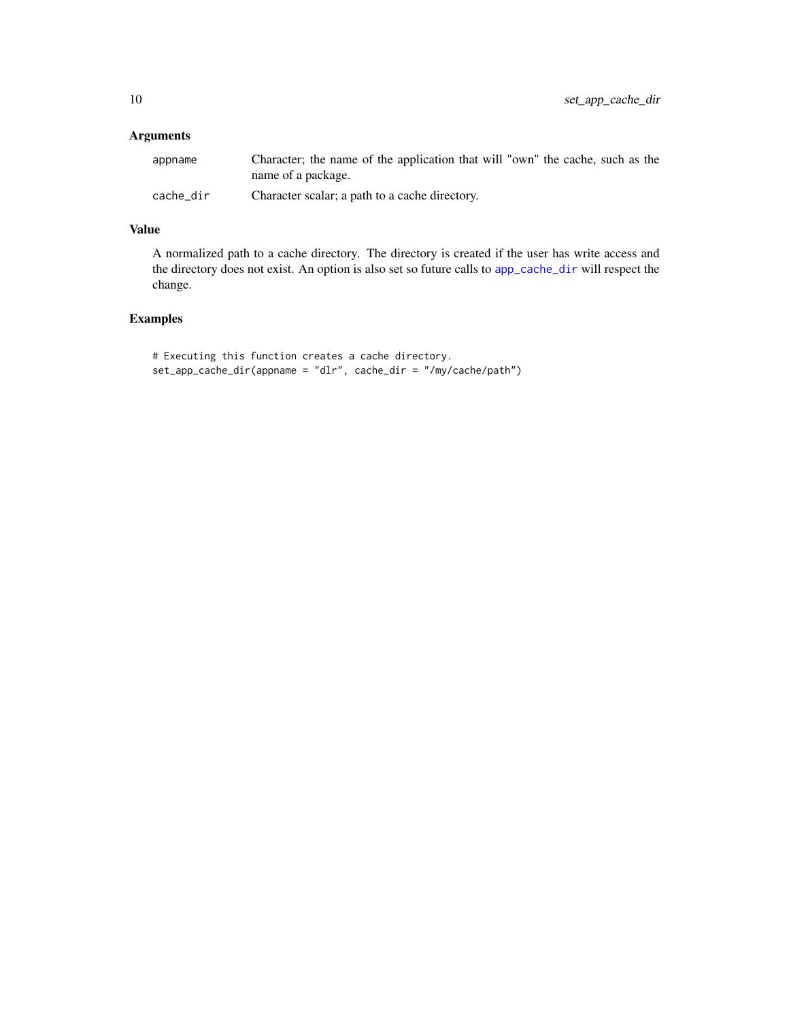#### <span id="page-9-0"></span>Arguments

| appname   | Character; the name of the application that will "own" the cache, such as the |
|-----------|-------------------------------------------------------------------------------|
|           | name of a package.                                                            |
| cache dir | Character scalar; a path to a cache directory.                                |

#### Value

A normalized path to a cache directory. The directory is created if the user has write access and the directory does not exist. An option is also set so future calls to [app\\_cache\\_dir](#page-1-1) will respect the change.

#### Examples

```
# Executing this function creates a cache directory.
set_app_cache_dir(appname = "dlr", cache_dir = "/my/cache/path")
```